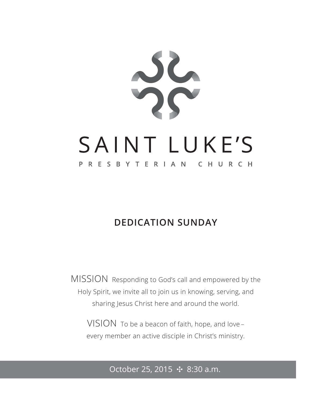

### **DEDICATION SUNDAY**

MISSION Responding to God's call and empowered by the Holy Spirit, we invite all to join us in knowing, serving, and sharing Jesus Christ here and around the world.

VISION To be a beacon of faith, hope, and love – every member an active disciple in Christ's ministry.

#### October 25, 2015 ✣ 8:30 a.m.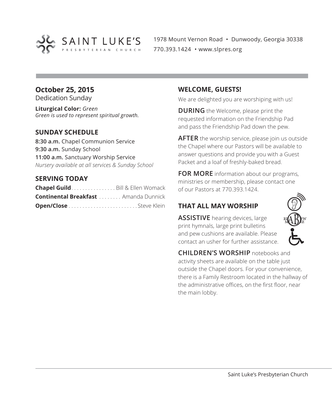

1978 Mount Vernon Road • Dunwoody, Georgia 30338 770.393.1424 • www.slpres.org

#### **October 25, 2015**

Dedication Sunday

**Liturgical Color:** *Green Green is used to represent spiritual growth.* 

#### **SUNDAY SCHEDULE**

**8:30 a.m.** Chapel Communion Service **9:30 a.m.** Sunday School **11:00 a.m.** Sanctuary Worship Service *Nursery available at all services & Sunday School*

#### **SERVING TODAY**

| Chapel Guild. Bill & Ellen Womack           |  |
|---------------------------------------------|--|
| <b>Continental Breakfast</b> Amanda Dunnick |  |
|                                             |  |

#### **WELCOME, GUESTS!**

We are delighted you are worshiping with us!

**DURING** the Welcome, please print the requested information on the Friendship Pad and pass the Friendship Pad down the pew.

**AFTER** the worship service, please join us outside the Chapel where our Pastors will be available to answer questions and provide you with a Guest Packet and a loaf of freshly-baked bread.

**FOR MORE** information about our programs, ministries or membership, please contact one of our Pastors at 770.393.1424.

#### **THAT ALL MAY WORSHIP**

**ASSISTIVE** hearing devices, large print hymnals, large print bulletins and pew cushions are available. Please contact an usher for further assistance.



**CHILDREN'S WORSHIP** notebooks and activity sheets are available on the table just outside the Chapel doors. For your convenience, there is a Family Restroom located in the hallway of the administrative offices, on the first floor, near the main lobby.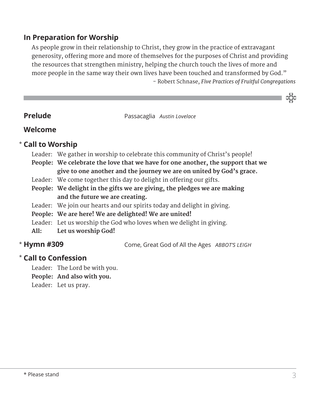#### **In Preparation for Worship**

 As people grow in their relationship to Christ, they grow in the practice of extravagant generosity, offering more and more of themselves for the purposes of Christ and providing the resources that strengthen ministry, helping the church touch the lives of more and more people in the same way their own lives have been touched and transformed by God." - Robert Schnase, *Five Practices of Fruitful Congregations*

**Passacaglia Austin Lovelace Passacaglia Austin Lovelace** 

#### **Welcome**

#### **Call to Worship** \*

- Leader: We gather in worship to celebrate this community of Christ's people!
- **People: We celebrate the love that we have for one another, the support that we give to one another and the journey we are on united by God's grace.**
- Leader: We come together this day to delight in offering our gifts.
- **People: We delight in the gifts we are giving, the pledges we are making and the future we are creating.**
- Leader: We join our hearts and our spirits today and delight in giving.
- **People: We are here! We are delighted! We are united!**
- Leader: Let us worship the God who loves when we delight in giving.
- **All: Let us worship God!**

#### \* Hymn #309

**Hymn #309** Come, Great God of All the Ages *ABBOT'S LEIGH*

#### **Call to Confession**  \*

Leader: The Lord be with you. **People: And also with you.**

Leader: Let us pray.

သိုင်း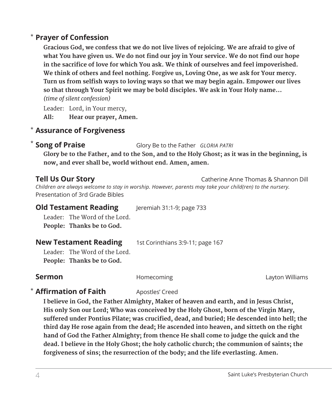#### **Prayer of Confession**  \*

 **Gracious God, we confess that we do not live lives of rejoicing. We are afraid to give of what You have given us. We do not find our joy in Your service. We do not find our hope in the sacrifice of love for which You ask. We think of ourselves and feel impoverished. We think of others and feel nothing. Forgive us, Loving One, as we ask for Your mercy. Turn us from selfish ways to loving ways so that we may begin again. Empower our lives so that through Your Spirit we may be bold disciples. We ask in Your Holy name...**  *(time of silent confession)*

Leader: Lord, in Your mercy, **All: Hear our prayer, Amen.**

#### **Assurance of Forgiveness** \*

**Song of Praise** Glory Be to the Father *GLORIA PATRI* \* Song of Praise

 **Glory be to the Father, and to the Son, and to the Holy Ghost; as it was in the beginning, is now, and ever shall be, world without end. Amen, amen.**

**Tell Us Our Story Catherine Anne Thomas & Shannon Dill** 

*Children are always welcome to stay in worship. However, parents may take your child(ren) to the nursery.*  Presentation of 3rd Grade Bibles

**Old Testament Reading** Jeremiah 31:1-9; page 733

 Leader: The Word of the Lord. **People: Thanks be to God.** 

**New Testament Reading** 1st Corinthians 3:9-11; page 167

Leader: The Word of the Lord. **People: Thanks be to God.**

**Sermon Example 2** Homecoming **Layton Williams** Layton Williams

#### **\* Affirmation of Faith** Apostles' Creed

 **I believe in God, the Father Almighty, Maker of heaven and earth, and in Jesus Christ, His only Son our Lord; Who was conceived by the Holy Ghost, born of the Virgin Mary, suffered under Pontius Pilate; was crucified, dead, and buried; He descended into hell; the third day He rose again from the dead; He ascended into heaven, and sitteth on the right hand of God the Father Almighty; from thence He shall come to judge the quick and the dead. I believe in the Holy Ghost; the holy catholic church; the communion of saints; the forgiveness of sins; the resurrection of the body; and the life everlasting. Amen.**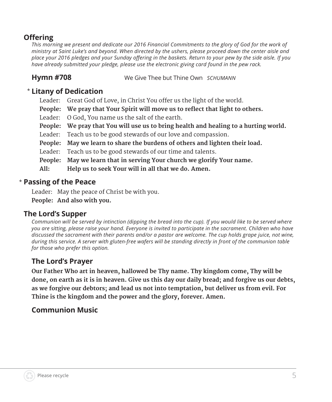#### **Offering**

*This morning we present and dedicate our 2016 Financial Commitments to the glory of God for the work of ministry at Saint Luke's and beyond. When directed by the ushers, please proceed down the center aisle and place your 2016 pledges and your Sunday offering in the baskets. Return to your pew by the side aisle. If you have already submitted your pledge, please use the electronic giving card found in the pew rack.*

**Hymn #708** We Give Thee but Thine Own *SCHUMANN*

#### **Litany of Dedication** \*

- Leader: Great God of Love, in Christ You offer us the light of the world.
- **People: We pray that Your Spirit will move us to reflect that light to others.**
- Leader: O God, You name us the salt of the earth.
- **People: We pray that You will use us to bring health and healing to a hurting world.**
- Leader: Teach us to be good stewards of our love and compassion.
- **People: May we learn to share the burdens of others and lighten their load.**
- Leader: Teach us to be good stewards of our time and talents.
- **People: May we learn that in serving Your church we glorify Your name.**
- **All: Help us to seek Your will in all that we do. Amen.**

#### **Passing of the Peace** \*

Leader: May the peace of Christ be with you.

**People: And also with you.**

#### **The Lord's Supper**

*Communion will be served by intinction (dipping the bread into the cup). If you would like to be served where you are sitting, please raise your hand. Everyone is invited to participate in the sacrament. Children who have discussed the sacrament with their parents and/or a pastor are welcome. The cup holds grape juice, not wine, during this service. A server with gluten-free wafers will be standing directly in front of the communion table for those who prefer this option.*

### **The Lord's Prayer**

 **Our Father Who art in heaven, hallowed be Thy name. Thy kingdom come, Thy will be done, on earth as it is in heaven. Give us this day our daily bread; and forgive us our debts, as we forgive our debtors; and lead us not into temptation, but deliver us from evil. For Thine is the kingdom and the power and the glory, forever. Amen.**

### **Communion Music**

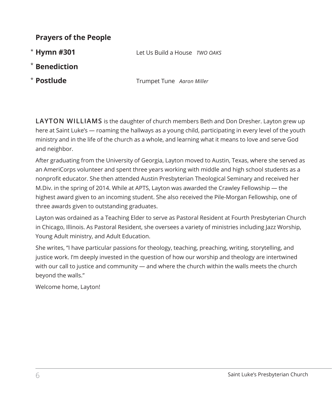#### **Prayers of the People**

\* Hymn #301

**Hymn #301** Let Us Build a House *TWO OAKS*

- $*$  Benediction
- \* Postlude

**Postlude** Trumpet Tune *Aaron Miller* 

**LAYTON WILLIAMS** is the daughter of church members Beth and Don Dresher. Layton grew up here at Saint Luke's — roaming the hallways as a young child, participating in every level of the youth ministry and in the life of the church as a whole, and learning what it means to love and serve God and neighbor.

After graduating from the University of Georgia, Layton moved to Austin, Texas, where she served as an AmeriCorps volunteer and spent three years working with middle and high school students as a nonprofit educator. She then attended Austin Presbyterian Theological Seminary and received her M.Div. in the spring of 2014. While at APTS, Layton was awarded the Crawley Fellowship — the highest award given to an incoming student. She also received the Pile-Morgan Fellowship, one of three awards given to outstanding graduates.

Layton was ordained as a Teaching Elder to serve as Pastoral Resident at Fourth Presbyterian Church in Chicago, Illinois. As Pastoral Resident, she oversees a variety of ministries including Jazz Worship, Young Adult ministry, and Adult Education.

She writes, "I have particular passions for theology, teaching, preaching, writing, storytelling, and justice work. I'm deeply invested in the question of how our worship and theology are intertwined with our call to justice and community — and where the church within the walls meets the church beyond the walls."

Welcome home, Layton!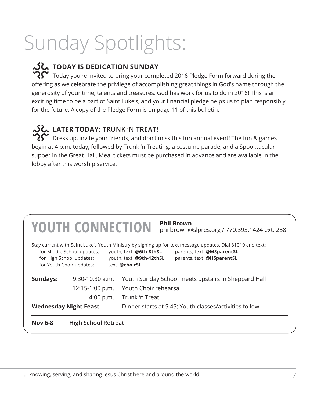# Sunday Spotlights:

## **TODAY IS DEDICATION SUNDAY**

 $\mathbf{?} \mathbf{\hat{}}$  Today you're invited to bring your completed 2016 Pledge Form forward during the offering as we celebrate the privilege of accomplishing great things in God's name through the generosity of your time, talents and treasures. God has work for us to do in 2016! This is an exciting time to be a part of Saint Luke's, and your financial pledge helps us to plan responsibly for the future. A copy of the Pledge Form is on page 11 of this bulletin.

#### **LATER TODAY: TRUNK 'N TREAT!**

 $\widetilde{\mathbf{Q}}\widetilde{\mathbf{C}}$  Dress up, invite your friends, and don't miss this fun annual event! The fun & games begin at 4 p.m. today, followed by Trunk 'n Treating, a costume parade, and a Spooktacular supper in the Great Hall. Meal tickets must be purchased in advance and are available in the lobby after this worship service.

|                | <b>YOUTH CONNECTION</b>                                                            | <b>Phil Brown</b><br>philbrown@slpres.org / 770.393.1424 ext. 238                                                                                                                                                                          |
|----------------|------------------------------------------------------------------------------------|--------------------------------------------------------------------------------------------------------------------------------------------------------------------------------------------------------------------------------------------|
|                | for Middle School updates:<br>for High School updates:<br>for Youth Choir updates: | Stay current with Saint Luke's Youth Ministry by signing up for text message updates. Dial 81010 and text:<br>youth, text @6th-8thSL<br>parents, text @MSparentSL<br>youth, text @9th-12thSL<br>parents, text @HSparentSL<br>text @choirSL |
| Sundays:       | $9:30-10:30$ a.m.                                                                  | Youth Sunday School meets upstairs in Sheppard Hall                                                                                                                                                                                        |
|                | 12:15-1:00 p.m.                                                                    | Youth Choir rehearsal                                                                                                                                                                                                                      |
|                | 4:00 p.m.                                                                          | Trunk 'n Treat!                                                                                                                                                                                                                            |
|                | <b>Wednesday Night Feast</b>                                                       | Dinner starts at 5:45; Youth classes/activities follow.                                                                                                                                                                                    |
| <b>Nov 6-8</b> | <b>High School Retreat</b>                                                         |                                                                                                                                                                                                                                            |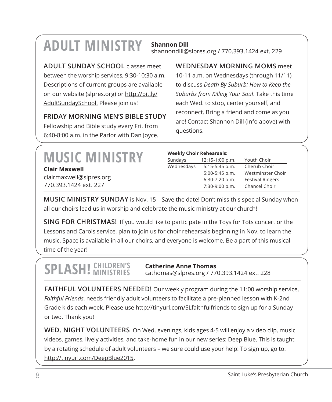## **ADULT MINISTRY Shannon Dill**

shannondill@slpres.org / 770.393.1424 ext. 229

**ADULT SUNDAY SCHOOL** classes meet between the worship services, 9:30-10:30 a.m. Descriptions of current groups are available on our website (slpres.org) or http://bit.ly/ AdultSundaySchool. Please join us!

#### **FRIDAY MORNING MEN'S BIBLE STUDY**

Fellowship and Bible study every Fri. from 6:40-8:00 a.m. in the Parlor with Dan Joyce. **WEDNESDAY MORNING MOMS** meet 10-11 a.m. on Wednesdays (through 11/11) to discuss *Death By Suburb: How to Keep the Suburbs from Killing Your Soul*. Take this time each Wed. to stop, center yourself, and reconnect. Bring a friend and come as you are! Contact Shannon Dill (info above) with questions.

|                         | <b>Weekly Choir Rehearsals:</b> |                  |                         |
|-------------------------|---------------------------------|------------------|-------------------------|
| <b>MUSIC MINISTRY</b>   | Sundays                         | 12:15-1:00 p.m.  | Youth Choir             |
| <b>Clair Maxwell</b>    | Wednesdays                      | $5:15-5:45$ p.m. | Cherub Choir            |
|                         |                                 | $5:00-5:45$ p.m. | Westminster Choir       |
| clairmaxwell@slpres.org |                                 | $6:30-7:20$ p.m. | <b>Festival Ringers</b> |
| 770.393.1424 ext. 227   |                                 | 7:30-9:00 p.m.   | Chancel Choir           |
|                         |                                 |                  |                         |

**MUSIC MINISTRY SUNDAY** is Nov. 15 – Save the date! Don't miss this special Sunday when all our choirs lead us in worship and celebrate the music ministry at our church!

**SING FOR CHRISTMAS!** If you would like to participate in the Toys for Tots concert or the Lessons and Carols service, plan to join us for choir rehearsals beginning in Nov. to learn the music. Space is available in all our choirs, and everyone is welcome. Be a part of this musical time of the year!

## **SPLASH!** CHILDREN'S

**Catherine Anne Thomas** cathomas@slpres.org / 770.393.1424 ext. 228

**FAITHFUL VOLUNTEERS NEEDED!** Our weekly program during the 11:00 worship service, *Faithful Friends*, needs friendly adult volunteers to facilitate a pre-planned lesson with K-2nd Grade kids each week. Please use http://tinyurl.com/SLfaithfulfriends to sign up for a Sunday or two. Thank you!

**WED. NIGHT VOLUNTEERS** On Wed. evenings, kids ages 4-5 will enjoy a video clip, music videos, games, lively activities, and take-home fun in our new series: Deep Blue. This is taught by a rotating schedule of adult volunteers – we sure could use your help! To sign up, go to: http://tinyurl.com/DeepBlue2015.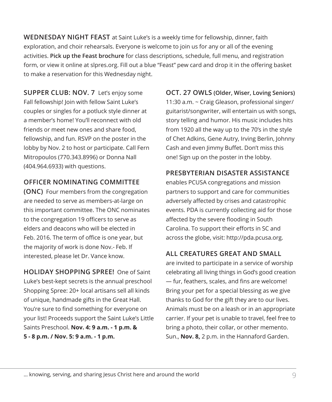**WEDNESDAY NIGHT FEAST** at Saint Luke's is a weekly time for fellowship, dinner, faith exploration, and choir rehearsals. Everyone is welcome to join us for any or all of the evening activities. **Pick up the Feast brochure** for class descriptions, schedule, full menu, and registration form, or view it online at slpres.org. Fill out a blue "Feast" pew card and drop it in the offering basket to make a reservation for this Wednesday night.

**SUPPER CLUB: NOV. 7** Let's enjoy some Fall fellowship! Join with fellow Saint Luke's couples or singles for a potluck style dinner at a member's home! You'll reconnect with old friends or meet new ones and share food, fellowship, and fun. RSVP on the poster in the lobby by Nov. 2 to host or participate. Call Fern Mitropoulos (770.343.8996) or Donna Nall (404.964.6933) with questions.

#### **OFFICER NOMINATING COMMITTEE**

**(ONC)** Four members from the congregation are needed to serve as members-at-large on this important committee. The ONC nominates to the congregation 19 officers to serve as elders and deacons who will be elected in Feb. 2016. The term of office is one year, but the majority of work is done Nov.- Feb. If interested, please let Dr. Vance know.

**HOLIDAY SHOPPING SPREE!** One of Saint Luke's best-kept secrets is the annual preschool Shopping Spree: 20+ local artisans sell all kinds of unique, handmade gifts in the Great Hall. You're sure to find something for everyone on your list! Proceeds support the Saint Luke's Little Saints Preschool. **Nov. 4: 9 a.m. - 1 p.m. & 5 - 8 p.m. / Nov. 5: 9 a.m. - 1 p.m.**

**OCT. 27 OWLS (Older, Wiser, Loving Seniors)**  11:30 a.m. ~ Craig Gleason, professional singer/ guitarist/songwriter, will entertain us with songs, story telling and humor. His music includes hits from 1920 all the way up to the 70's in the style of Chet Adkins, Gene Autry, Irving Berlin, Johnny Cash and even Jimmy Buffet. Don't miss this one! Sign up on the poster in the lobby.

#### **PRESBYTERIAN DISASTER ASSISTANCE**

enables PCUSA congregations and mission partners to support and care for communities adversely affected by crises and catastrophic events. PDA is currently collecting aid for those affected by the severe flooding in South Carolina. To support their efforts in SC and across the globe, visit: http://pda.pcusa.org.

#### **ALL CREATURES GREAT AND SMALL**

are invited to participate in a service of worship celebrating all living things in God's good creation — fur, feathers, scales, and fins are welcome! Bring your pet for a special blessing as we give thanks to God for the gift they are to our lives. Animals must be on a leash or in an appropriate carrier. If your pet is unable to travel, feel free to bring a photo, their collar, or other memento. Sun., **Nov. 8,** 2 p.m. in the Hannaford Garden.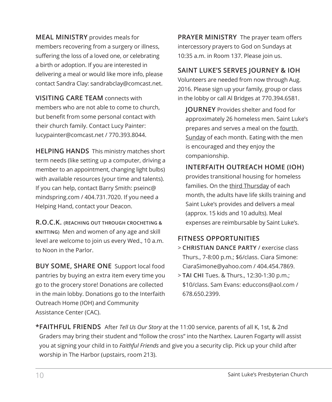**MEAL MINISTRY** provides meals for members recovering from a surgery or illness, suffering the loss of a loved one, or celebrating a birth or adoption. If you are interested in delivering a meal or would like more info, please contact Sandra Clay: sandrabclay@comcast.net.

**VISITING CARE TEAM** connects with members who are not able to come to church, but benefit from some personal contact with their church family. Contact Lucy Painter: lucypainter@comcast.net / 770.393.8044.

**HELPING HANDS** This ministry matches short term needs (like setting up a computer, driving a member to an appointment, changing light bulbs) with available resources (your time and talents). If you can help, contact Barry Smith: pseinc@ mindspring.com / 404.731.7020. If you need a Helping Hand, contact your Deacon.

**R.O.C.K. (REACHING OUT THROUGH CROCHETING & KNITTING)** Men and women of any age and skill level are welcome to join us every Wed., 10 a.m. to Noon in the Parlor.

**BUY SOME, SHARE ONE** Support local food pantries by buying an extra item every time you go to the grocery store! Donations are collected in the main lobby. Donations go to the Interfaith Outreach Home (IOH) and Community Assistance Center (CAC).

**PRAYER MINISTRY** The prayer team offers intercessory prayers to God on Sundays at 10:35 a.m. in Room 137. Please join us.

#### **SAINT LUKE'S SERVES JOURNEY & IOH**

Volunteers are needed from now through Aug. 2016. Please sign up your family, group or class in the lobby or call Al Bridges at 770.394.6581.

 **JOURNEY** Provides shelter and food for approximately 26 homeless men. Saint Luke's prepares and serves a meal on the fourth Sunday of each month. Eating with the men is encouraged and they enjoy the companionship.

#### **INTERFAITH OUTREACH HOME (IOH)**

provides transitional housing for homeless families. On the third Thursday of each month, the adults have life skills training and Saint Luke's provides and delivers a meal (approx. 15 kids and 10 adults). Meal expenses are reimbursable by Saint Luke's.

#### **FITNESS OPPORTUNITIES**

- > **CHRISTIAN DANCE PARTY** / exercise class Thurs., 7-8:00 p.m.; \$6/class. Ciara Simone: CiaraSimone@yahoo.com / 404.454.7869.
- > **TAI CHI** Tues. & Thurs., 12:30-1:30 p.m.; \$10/class. Sam Evans: educcons@aol.com / 678.650.2399.

**\*FAITHFUL FRIENDS** After *Tell Us Our Story* at the 11:00 service, parents of all K, 1st, & 2nd Graders may bring their student and "follow the cross" into the Narthex. Lauren Fogarty will assist you at signing your child in to *Faithful Friends* and give you a security clip. Pick up your child after worship in The Harbor (upstairs, room 213).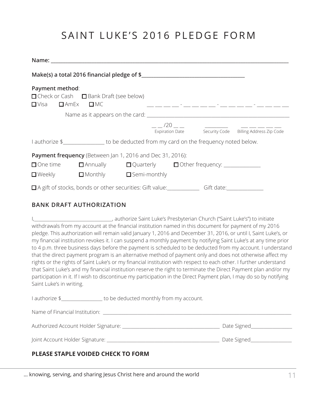### SAINT LUKE'S 2016 PLEDGE FORM

| Payment method:<br>$\Box$ Visa $\Box$ AmEx $\Box$ MC | □ Check or Cash □ Bank Draft (see below)                                                                                                                                                                          |  | <u> 1990 - Andrea Andrea Ann an Aonaichte ann an Aonaichte ann an Aonaichte ann an Aonaichte ann an Aonaichte ann </u> |
|------------------------------------------------------|-------------------------------------------------------------------------------------------------------------------------------------------------------------------------------------------------------------------|--|------------------------------------------------------------------------------------------------------------------------|
|                                                      |                                                                                                                                                                                                                   |  |                                                                                                                        |
|                                                      |                                                                                                                                                                                                                   |  | Expiration Date Security Code Billing Address Zip Code                                                                 |
|                                                      | I authorize \$_________________ to be deducted from my card on the frequency noted below.<br><b>Payment frequency</b> (Between Jan 1, 2016 and Dec 31, 2016):<br>$\Box$ Weekly $\Box$ Monthly $\Box$ Semi-monthly |  |                                                                                                                        |
|                                                      | □ A gift of stocks, bonds or other securities: Gift value: Gift caller Gift date: Gift date:                                                                                                                      |  |                                                                                                                        |

#### **BANK DRAFT AUTHORIZATION**

I,\_\_\_\_\_\_\_\_\_\_\_\_\_\_\_\_\_\_\_\_\_\_\_\_\_\_\_\_\_\_\_\_\_\_\_\_, authorize Saint Luke's Presbyterian Church ("Saint Luke's") to initiate withdrawals from my account at the financial institution named in this document for payment of my 2016 pledge. This authorization will remain valid January 1, 2016 and December 31, 2016, or until I, Saint Luke's, or my financial institution revokes it. I can suspend a monthly payment by notifying Saint Luke's at any time prior to 4 p.m. three business days before the payment is scheduled to be deducted from my account. I understand that the direct payment program is an alternative method of payment only and does not otherwise affect my rights or the rights of Saint Luke's or my financial institution with respect to each other. I further understand that Saint Luke's and my financial institution reserve the right to terminate the Direct Payment plan and/or my participation in it. If I wish to discontinue my participation in the Direct Payment plan, I may do so by notifying Saint Luke's in writing.

I authorize \$ \_\_\_\_\_\_\_\_\_\_\_\_\_\_ to be deducted monthly from my account.

| Name of Financial Institution:       |             |
|--------------------------------------|-------------|
| Authorized Account Holder Signature: | Date Signed |
| Joint Account Holder Signature:      | Date Signed |

#### **PLEASE STAPLE VOIDED CHECK TO FORM**